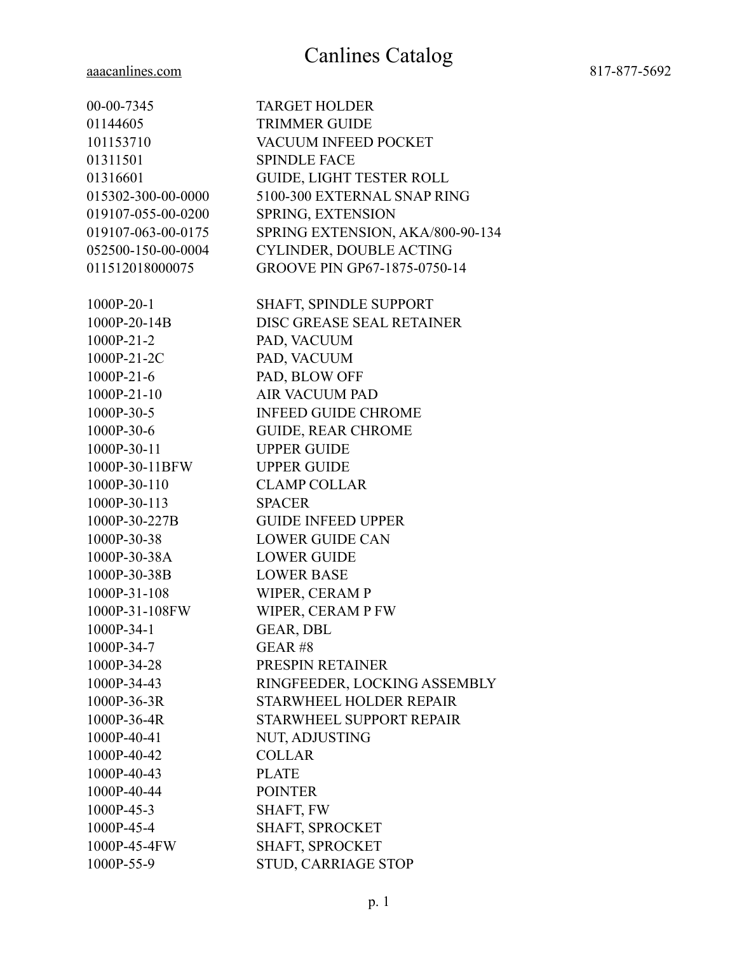00-00-7345 01144605 101153710 01311501 01316601 015302-300-00-0000 019107-055-00-0200 019107-063-00-0175 052500-150-00-0004 011512018000075 1000P-20-1 1000P-20-14B 1000P-21-2 1000P-21-2C 1000P-21-6 1000P-21-10 1000P-30-5 1000P-30-6 1000P-30-11 1000P-30-11BFW 1000P-30-110 1000P-30-113 1000P-30-227B 1000P-30-38 1000P-30-38A 1000P-30-38B 1000P-31-108 1000P-31-108FW 1000P-34-1 1000P-34-7 1000P-34-28 1000P-34-43 1000P-36-3R 1000P-36-4R 1000P-40-41 1000P-40-42 1000P-40-43 1000P-40-44 1000P-45-3 1000P-45-4 1000P-45-4FW 1000P-55-9 TARGET HOLDER TRIMMER GUIDE VACUUM INFEED POCKET SPINDLE FACE GUIDE, LIGHT TESTER ROLL 5100-300 EXTERNAL SNAP RING SPRING, EXTENSION SPRING EXTENSION, AKA/800-90-134 CYLINDER, DOUBLE ACTING GROOVE PIN GP67-1875-0750-14 SHAFT, SPINDLE SUPPORT DISC GREASE SEAL RETAINER PAD, VACUUM PAD, VACUUM PAD, BLOW OFF AIR VACUUM PAD INFEED GUIDE CHROME GUIDE, REAR CHROME UPPER GUIDE UPPER GUIDE CLAMP COLLAR SPACER GUIDE INFEED UPPER LOWER GUIDE CAN LOWER GUIDE LOWER BASE WIPER, CERAM P WIPER, CERAM P FW GEAR, DBL GEAR #8 PRESPIN RETAINER RINGFEEDER, LOCKING ASSEMBLY STARWHEEL HOLDER REPAIR STARWHEEL SUPPORT REPAIR NUT, ADJUSTING COLLAR PLATE POINTER SHAFT, FW SHAFT, SPROCKET SHAFT, SPROCKET STUD, CARRIAGE STOP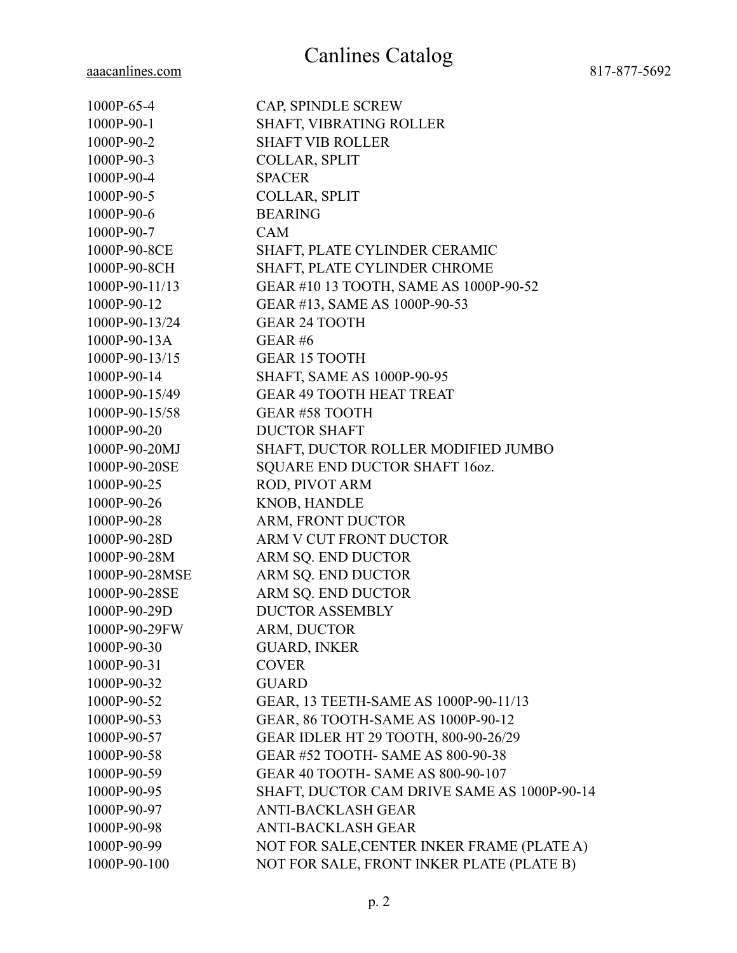| SHAFT, VIBRATING ROLLER<br>1000P-90-1<br>1000P-90-2<br><b>SHAFT VIB ROLLER</b><br>1000P-90-3<br>COLLAR, SPLIT<br>1000P-90-4<br><b>SPACER</b><br>1000P-90-5<br>COLLAR, SPLIT<br>1000P-90-6<br><b>BEARING</b><br>1000P-90-7<br><b>CAM</b><br>1000P-90-8CE<br>SHAFT, PLATE CYLINDER CERAMIC<br>SHAFT, PLATE CYLINDER CHROME<br>1000P-90-8CH<br>GEAR #10 13 TOOTH, SAME AS 1000P-90-52<br>1000P-90-11/13<br>GEAR #13, SAME AS 1000P-90-53<br>1000P-90-12<br>1000P-90-13/24<br><b>GEAR 24 TOOTH</b><br>1000P-90-13A<br>GEAR#6<br>1000P-90-13/15<br><b>GEAR 15 TOOTH</b><br>1000P-90-14<br>SHAFT, SAME AS 1000P-90-95<br><b>GEAR 49 TOOTH HEAT TREAT</b><br>1000P-90-15/49<br>1000P-90-15/58<br><b>GEAR #58 TOOTH</b><br><b>DUCTOR SHAFT</b><br>1000P-90-20<br>SHAFT, DUCTOR ROLLER MODIFIED JUMBO<br>1000P-90-20MJ<br>SQUARE END DUCTOR SHAFT 16oz.<br>1000P-90-20SE<br>ROD, PIVOT ARM<br>1000P-90-25<br>KNOB, HANDLE<br>1000P-90-26<br>ARM, FRONT DUCTOR<br>1000P-90-28<br>ARM V CUT FRONT DUCTOR<br>1000P-90-28D<br>1000P-90-28M<br>ARM SQ. END DUCTOR<br>ARM SQ. END DUCTOR<br>1000P-90-28MSE<br>ARM SQ. END DUCTOR<br>1000P-90-28SE<br><b>DUCTOR ASSEMBLY</b><br>1000P-90-29D<br>1000P-90-29FW<br>ARM, DUCTOR<br><b>GUARD, INKER</b><br>1000P-90-30<br>1000P-90-31<br><b>COVER</b><br>1000P-90-32<br><b>GUARD</b><br>1000P-90-52<br>GEAR, 13 TEETH-SAME AS 1000P-90-11/13<br>GEAR, 86 TOOTH-SAME AS 1000P-90-12<br>1000P-90-53<br>GEAR IDLER HT 29 TOOTH, 800-90-26/29<br>1000P-90-57<br>GEAR #52 TOOTH- SAME AS 800-90-38<br>1000P-90-58<br>1000P-90-59<br>GEAR 40 TOOTH- SAME AS 800-90-107<br>SHAFT, DUCTOR CAM DRIVE SAME AS 1000P-90-14<br>1000P-90-95<br>1000P-90-97<br><b>ANTI-BACKLASH GEAR</b><br><b>ANTI-BACKLASH GEAR</b><br>1000P-90-98<br>1000P-90-99<br>NOT FOR SALE, CENTER INKER FRAME (PLATE A)<br>NOT FOR SALE, FRONT INKER PLATE (PLATE B)<br>1000P-90-100 | 1000P-65-4 | CAP, SPINDLE SCREW |
|------------------------------------------------------------------------------------------------------------------------------------------------------------------------------------------------------------------------------------------------------------------------------------------------------------------------------------------------------------------------------------------------------------------------------------------------------------------------------------------------------------------------------------------------------------------------------------------------------------------------------------------------------------------------------------------------------------------------------------------------------------------------------------------------------------------------------------------------------------------------------------------------------------------------------------------------------------------------------------------------------------------------------------------------------------------------------------------------------------------------------------------------------------------------------------------------------------------------------------------------------------------------------------------------------------------------------------------------------------------------------------------------------------------------------------------------------------------------------------------------------------------------------------------------------------------------------------------------------------------------------------------------------------------------------------------------------------------------------------------------------------------------------------------------------------------------------------------------------------------------------|------------|--------------------|
|                                                                                                                                                                                                                                                                                                                                                                                                                                                                                                                                                                                                                                                                                                                                                                                                                                                                                                                                                                                                                                                                                                                                                                                                                                                                                                                                                                                                                                                                                                                                                                                                                                                                                                                                                                                                                                                                              |            |                    |
|                                                                                                                                                                                                                                                                                                                                                                                                                                                                                                                                                                                                                                                                                                                                                                                                                                                                                                                                                                                                                                                                                                                                                                                                                                                                                                                                                                                                                                                                                                                                                                                                                                                                                                                                                                                                                                                                              |            |                    |
|                                                                                                                                                                                                                                                                                                                                                                                                                                                                                                                                                                                                                                                                                                                                                                                                                                                                                                                                                                                                                                                                                                                                                                                                                                                                                                                                                                                                                                                                                                                                                                                                                                                                                                                                                                                                                                                                              |            |                    |
|                                                                                                                                                                                                                                                                                                                                                                                                                                                                                                                                                                                                                                                                                                                                                                                                                                                                                                                                                                                                                                                                                                                                                                                                                                                                                                                                                                                                                                                                                                                                                                                                                                                                                                                                                                                                                                                                              |            |                    |
|                                                                                                                                                                                                                                                                                                                                                                                                                                                                                                                                                                                                                                                                                                                                                                                                                                                                                                                                                                                                                                                                                                                                                                                                                                                                                                                                                                                                                                                                                                                                                                                                                                                                                                                                                                                                                                                                              |            |                    |
|                                                                                                                                                                                                                                                                                                                                                                                                                                                                                                                                                                                                                                                                                                                                                                                                                                                                                                                                                                                                                                                                                                                                                                                                                                                                                                                                                                                                                                                                                                                                                                                                                                                                                                                                                                                                                                                                              |            |                    |
|                                                                                                                                                                                                                                                                                                                                                                                                                                                                                                                                                                                                                                                                                                                                                                                                                                                                                                                                                                                                                                                                                                                                                                                                                                                                                                                                                                                                                                                                                                                                                                                                                                                                                                                                                                                                                                                                              |            |                    |
|                                                                                                                                                                                                                                                                                                                                                                                                                                                                                                                                                                                                                                                                                                                                                                                                                                                                                                                                                                                                                                                                                                                                                                                                                                                                                                                                                                                                                                                                                                                                                                                                                                                                                                                                                                                                                                                                              |            |                    |
|                                                                                                                                                                                                                                                                                                                                                                                                                                                                                                                                                                                                                                                                                                                                                                                                                                                                                                                                                                                                                                                                                                                                                                                                                                                                                                                                                                                                                                                                                                                                                                                                                                                                                                                                                                                                                                                                              |            |                    |
|                                                                                                                                                                                                                                                                                                                                                                                                                                                                                                                                                                                                                                                                                                                                                                                                                                                                                                                                                                                                                                                                                                                                                                                                                                                                                                                                                                                                                                                                                                                                                                                                                                                                                                                                                                                                                                                                              |            |                    |
|                                                                                                                                                                                                                                                                                                                                                                                                                                                                                                                                                                                                                                                                                                                                                                                                                                                                                                                                                                                                                                                                                                                                                                                                                                                                                                                                                                                                                                                                                                                                                                                                                                                                                                                                                                                                                                                                              |            |                    |
|                                                                                                                                                                                                                                                                                                                                                                                                                                                                                                                                                                                                                                                                                                                                                                                                                                                                                                                                                                                                                                                                                                                                                                                                                                                                                                                                                                                                                                                                                                                                                                                                                                                                                                                                                                                                                                                                              |            |                    |
|                                                                                                                                                                                                                                                                                                                                                                                                                                                                                                                                                                                                                                                                                                                                                                                                                                                                                                                                                                                                                                                                                                                                                                                                                                                                                                                                                                                                                                                                                                                                                                                                                                                                                                                                                                                                                                                                              |            |                    |
|                                                                                                                                                                                                                                                                                                                                                                                                                                                                                                                                                                                                                                                                                                                                                                                                                                                                                                                                                                                                                                                                                                                                                                                                                                                                                                                                                                                                                                                                                                                                                                                                                                                                                                                                                                                                                                                                              |            |                    |
|                                                                                                                                                                                                                                                                                                                                                                                                                                                                                                                                                                                                                                                                                                                                                                                                                                                                                                                                                                                                                                                                                                                                                                                                                                                                                                                                                                                                                                                                                                                                                                                                                                                                                                                                                                                                                                                                              |            |                    |
|                                                                                                                                                                                                                                                                                                                                                                                                                                                                                                                                                                                                                                                                                                                                                                                                                                                                                                                                                                                                                                                                                                                                                                                                                                                                                                                                                                                                                                                                                                                                                                                                                                                                                                                                                                                                                                                                              |            |                    |
|                                                                                                                                                                                                                                                                                                                                                                                                                                                                                                                                                                                                                                                                                                                                                                                                                                                                                                                                                                                                                                                                                                                                                                                                                                                                                                                                                                                                                                                                                                                                                                                                                                                                                                                                                                                                                                                                              |            |                    |
|                                                                                                                                                                                                                                                                                                                                                                                                                                                                                                                                                                                                                                                                                                                                                                                                                                                                                                                                                                                                                                                                                                                                                                                                                                                                                                                                                                                                                                                                                                                                                                                                                                                                                                                                                                                                                                                                              |            |                    |
|                                                                                                                                                                                                                                                                                                                                                                                                                                                                                                                                                                                                                                                                                                                                                                                                                                                                                                                                                                                                                                                                                                                                                                                                                                                                                                                                                                                                                                                                                                                                                                                                                                                                                                                                                                                                                                                                              |            |                    |
|                                                                                                                                                                                                                                                                                                                                                                                                                                                                                                                                                                                                                                                                                                                                                                                                                                                                                                                                                                                                                                                                                                                                                                                                                                                                                                                                                                                                                                                                                                                                                                                                                                                                                                                                                                                                                                                                              |            |                    |
|                                                                                                                                                                                                                                                                                                                                                                                                                                                                                                                                                                                                                                                                                                                                                                                                                                                                                                                                                                                                                                                                                                                                                                                                                                                                                                                                                                                                                                                                                                                                                                                                                                                                                                                                                                                                                                                                              |            |                    |
|                                                                                                                                                                                                                                                                                                                                                                                                                                                                                                                                                                                                                                                                                                                                                                                                                                                                                                                                                                                                                                                                                                                                                                                                                                                                                                                                                                                                                                                                                                                                                                                                                                                                                                                                                                                                                                                                              |            |                    |
|                                                                                                                                                                                                                                                                                                                                                                                                                                                                                                                                                                                                                                                                                                                                                                                                                                                                                                                                                                                                                                                                                                                                                                                                                                                                                                                                                                                                                                                                                                                                                                                                                                                                                                                                                                                                                                                                              |            |                    |
|                                                                                                                                                                                                                                                                                                                                                                                                                                                                                                                                                                                                                                                                                                                                                                                                                                                                                                                                                                                                                                                                                                                                                                                                                                                                                                                                                                                                                                                                                                                                                                                                                                                                                                                                                                                                                                                                              |            |                    |
|                                                                                                                                                                                                                                                                                                                                                                                                                                                                                                                                                                                                                                                                                                                                                                                                                                                                                                                                                                                                                                                                                                                                                                                                                                                                                                                                                                                                                                                                                                                                                                                                                                                                                                                                                                                                                                                                              |            |                    |
|                                                                                                                                                                                                                                                                                                                                                                                                                                                                                                                                                                                                                                                                                                                                                                                                                                                                                                                                                                                                                                                                                                                                                                                                                                                                                                                                                                                                                                                                                                                                                                                                                                                                                                                                                                                                                                                                              |            |                    |
|                                                                                                                                                                                                                                                                                                                                                                                                                                                                                                                                                                                                                                                                                                                                                                                                                                                                                                                                                                                                                                                                                                                                                                                                                                                                                                                                                                                                                                                                                                                                                                                                                                                                                                                                                                                                                                                                              |            |                    |
|                                                                                                                                                                                                                                                                                                                                                                                                                                                                                                                                                                                                                                                                                                                                                                                                                                                                                                                                                                                                                                                                                                                                                                                                                                                                                                                                                                                                                                                                                                                                                                                                                                                                                                                                                                                                                                                                              |            |                    |
|                                                                                                                                                                                                                                                                                                                                                                                                                                                                                                                                                                                                                                                                                                                                                                                                                                                                                                                                                                                                                                                                                                                                                                                                                                                                                                                                                                                                                                                                                                                                                                                                                                                                                                                                                                                                                                                                              |            |                    |
|                                                                                                                                                                                                                                                                                                                                                                                                                                                                                                                                                                                                                                                                                                                                                                                                                                                                                                                                                                                                                                                                                                                                                                                                                                                                                                                                                                                                                                                                                                                                                                                                                                                                                                                                                                                                                                                                              |            |                    |
|                                                                                                                                                                                                                                                                                                                                                                                                                                                                                                                                                                                                                                                                                                                                                                                                                                                                                                                                                                                                                                                                                                                                                                                                                                                                                                                                                                                                                                                                                                                                                                                                                                                                                                                                                                                                                                                                              |            |                    |
|                                                                                                                                                                                                                                                                                                                                                                                                                                                                                                                                                                                                                                                                                                                                                                                                                                                                                                                                                                                                                                                                                                                                                                                                                                                                                                                                                                                                                                                                                                                                                                                                                                                                                                                                                                                                                                                                              |            |                    |
|                                                                                                                                                                                                                                                                                                                                                                                                                                                                                                                                                                                                                                                                                                                                                                                                                                                                                                                                                                                                                                                                                                                                                                                                                                                                                                                                                                                                                                                                                                                                                                                                                                                                                                                                                                                                                                                                              |            |                    |
|                                                                                                                                                                                                                                                                                                                                                                                                                                                                                                                                                                                                                                                                                                                                                                                                                                                                                                                                                                                                                                                                                                                                                                                                                                                                                                                                                                                                                                                                                                                                                                                                                                                                                                                                                                                                                                                                              |            |                    |
|                                                                                                                                                                                                                                                                                                                                                                                                                                                                                                                                                                                                                                                                                                                                                                                                                                                                                                                                                                                                                                                                                                                                                                                                                                                                                                                                                                                                                                                                                                                                                                                                                                                                                                                                                                                                                                                                              |            |                    |
|                                                                                                                                                                                                                                                                                                                                                                                                                                                                                                                                                                                                                                                                                                                                                                                                                                                                                                                                                                                                                                                                                                                                                                                                                                                                                                                                                                                                                                                                                                                                                                                                                                                                                                                                                                                                                                                                              |            |                    |
|                                                                                                                                                                                                                                                                                                                                                                                                                                                                                                                                                                                                                                                                                                                                                                                                                                                                                                                                                                                                                                                                                                                                                                                                                                                                                                                                                                                                                                                                                                                                                                                                                                                                                                                                                                                                                                                                              |            |                    |
|                                                                                                                                                                                                                                                                                                                                                                                                                                                                                                                                                                                                                                                                                                                                                                                                                                                                                                                                                                                                                                                                                                                                                                                                                                                                                                                                                                                                                                                                                                                                                                                                                                                                                                                                                                                                                                                                              |            |                    |
|                                                                                                                                                                                                                                                                                                                                                                                                                                                                                                                                                                                                                                                                                                                                                                                                                                                                                                                                                                                                                                                                                                                                                                                                                                                                                                                                                                                                                                                                                                                                                                                                                                                                                                                                                                                                                                                                              |            |                    |
|                                                                                                                                                                                                                                                                                                                                                                                                                                                                                                                                                                                                                                                                                                                                                                                                                                                                                                                                                                                                                                                                                                                                                                                                                                                                                                                                                                                                                                                                                                                                                                                                                                                                                                                                                                                                                                                                              |            |                    |
|                                                                                                                                                                                                                                                                                                                                                                                                                                                                                                                                                                                                                                                                                                                                                                                                                                                                                                                                                                                                                                                                                                                                                                                                                                                                                                                                                                                                                                                                                                                                                                                                                                                                                                                                                                                                                                                                              |            |                    |
|                                                                                                                                                                                                                                                                                                                                                                                                                                                                                                                                                                                                                                                                                                                                                                                                                                                                                                                                                                                                                                                                                                                                                                                                                                                                                                                                                                                                                                                                                                                                                                                                                                                                                                                                                                                                                                                                              |            |                    |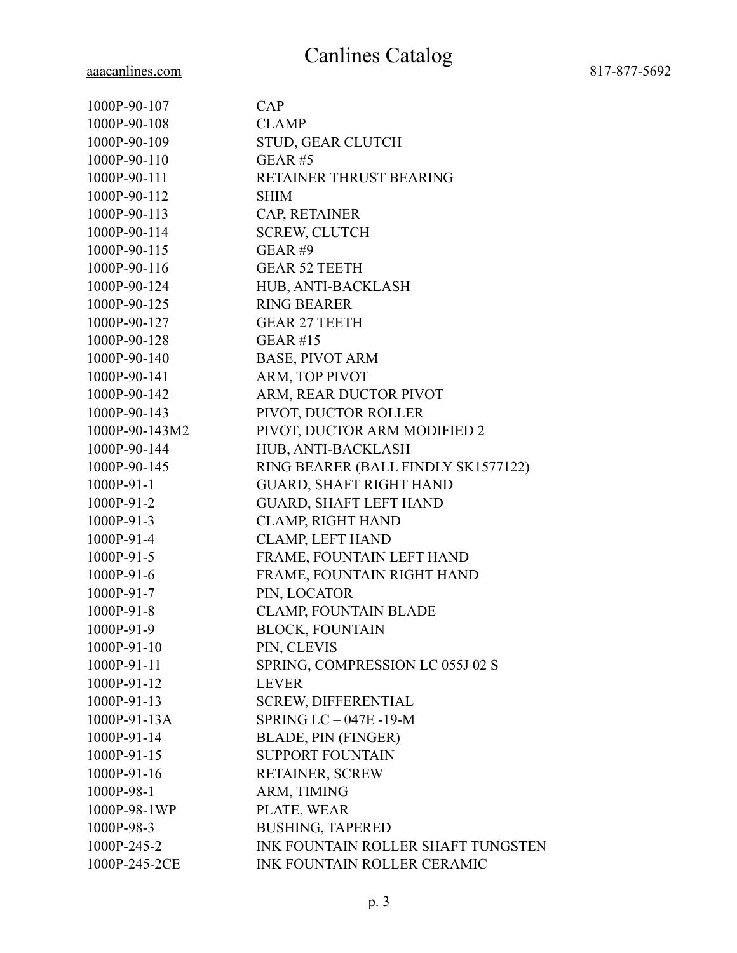1000P-90-107 1000P-90-108 1000P-90-109 1000P-90-110 1000P-90-111 1000P-90-112 1000P-90-113 1000P-90-114 1000P-90-115 1000P-90-116 1000P-90-124 1000P-90-125 1000P-90-127 1000P-90-128 1000P-90-140 1000P-90-141 1000P-90-142 1000P-90-143 1000P-90-143M2 1000P-90-144 1000P-90-145 1000P-91-1 1000P-91-2 1000P-91-3 1000P-91-4 1000P-91-5 1000P-91-6 1000P-91-7 1000P-91-8 1000P-91-9 1000P-91-10 1000P-91-11 1000P-91-12 1000P-91-13 1000P-91-13A 1000P-91-14 1000P-91-15 1000P-91-16 1000P-98-1 1000P-98-1WP 1000P-98-3 1000P-245-2 1000P-245-2CE CAP CLAMP STUD, GEAR CLUTCH GEAR #5 RETAINER THRUST BEARING SHIM CAP, RETAINER SCREW, CLUTCH GEAR #9 GEAR 52 TEETH HUB, ANTI-BACKLASH RING BEARER GEAR 27 TEETH GEAR #15 BASE, PIVOT ARM ARM, TOP PIVOT ARM, REAR DUCTOR PIVOT PIVOT, DUCTOR ROLLER PIVOT, DUCTOR ARM MODIFIED 2 HUB, ANTI-BACKLASH RING BEARER (BALL FINDLY SK1577122) GUARD, SHAFT RIGHT HAND GUARD, SHAFT LEFT HAND CLAMP, RIGHT HAND CLAMP, LEFT HAND FRAME, FOUNTAIN LEFT HAND FRAME, FOUNTAIN RIGHT HAND PIN, LOCATOR CLAMP, FOUNTAIN BLADE BLOCK, FOUNTAIN PIN, CLEVIS SPRING, COMPRESSION LC 055J 02 S LEVER SCREW, DIFFERENTIAL SPRING LC – 047E -19-M BLADE, PIN (FINGER) SUPPORT FOUNTAIN RETAINER, SCREW ARM, TIMING PLATE, WEAR BUSHING, TAPERED INK FOUNTAIN ROLLER SHAFT TUNGSTEN INK FOUNTAIN ROLLER CERAMIC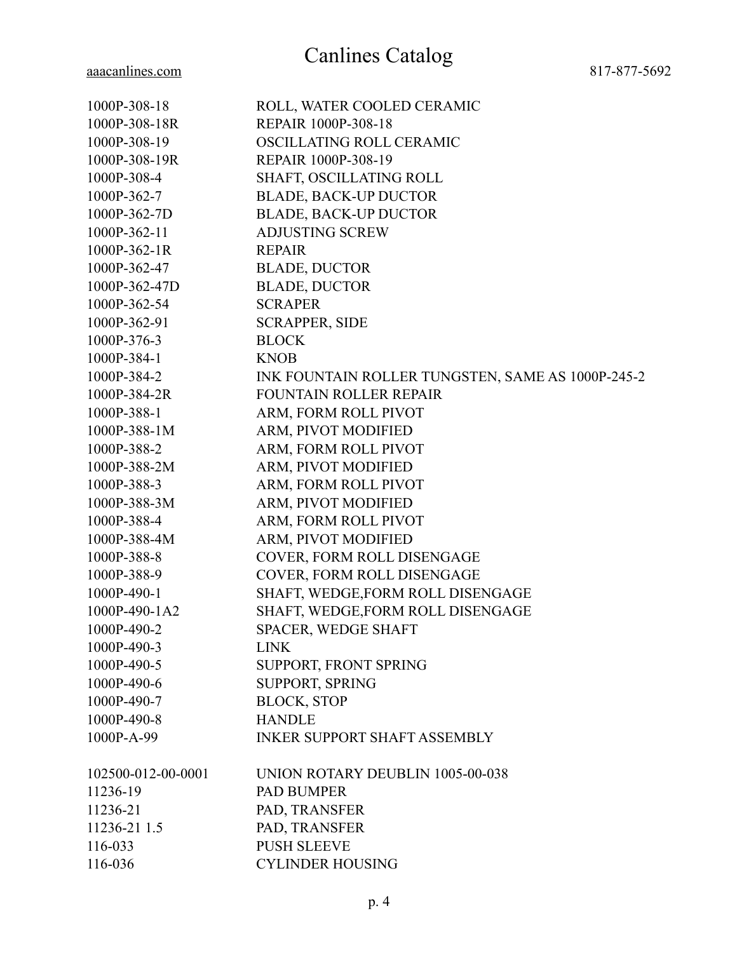| 1000P-308-18       | ROLL, WATER COOLED CERAMIC                        |
|--------------------|---------------------------------------------------|
| 1000P-308-18R      | REPAIR 1000P-308-18                               |
| 1000P-308-19       | OSCILLATING ROLL CERAMIC                          |
| 1000P-308-19R      | REPAIR 1000P-308-19                               |
| 1000P-308-4        | SHAFT, OSCILLATING ROLL                           |
| 1000P-362-7        | <b>BLADE, BACK-UP DUCTOR</b>                      |
| 1000P-362-7D       | <b>BLADE, BACK-UP DUCTOR</b>                      |
| 1000P-362-11       | <b>ADJUSTING SCREW</b>                            |
| 1000P-362-1R       | <b>REPAIR</b>                                     |
| 1000P-362-47       | <b>BLADE, DUCTOR</b>                              |
| 1000P-362-47D      | <b>BLADE, DUCTOR</b>                              |
| 1000P-362-54       | <b>SCRAPER</b>                                    |
| 1000P-362-91       | <b>SCRAPPER, SIDE</b>                             |
| 1000P-376-3        | <b>BLOCK</b>                                      |
| 1000P-384-1        | <b>KNOB</b>                                       |
| 1000P-384-2        | INK FOUNTAIN ROLLER TUNGSTEN, SAME AS 1000P-245-2 |
| 1000P-384-2R       | <b>FOUNTAIN ROLLER REPAIR</b>                     |
| 1000P-388-1        | ARM, FORM ROLL PIVOT                              |
| 1000P-388-1M       | ARM, PIVOT MODIFIED                               |
| 1000P-388-2        | ARM, FORM ROLL PIVOT                              |
| 1000P-388-2M       | ARM, PIVOT MODIFIED                               |
| 1000P-388-3        | ARM, FORM ROLL PIVOT                              |
| 1000P-388-3M       | ARM, PIVOT MODIFIED                               |
| 1000P-388-4        | ARM, FORM ROLL PIVOT                              |
| 1000P-388-4M       | ARM, PIVOT MODIFIED                               |
| 1000P-388-8        | COVER, FORM ROLL DISENGAGE                        |
| 1000P-388-9        | COVER, FORM ROLL DISENGAGE                        |
| 1000P-490-1        | SHAFT, WEDGE, FORM ROLL DISENGAGE                 |
| 1000P-490-1A2      | SHAFT, WEDGE, FORM ROLL DISENGAGE                 |
| 1000P-490-2        | SPACER, WEDGE SHAFT                               |
| 1000P-490-3        | <b>LINK</b>                                       |
| 1000P-490-5        | SUPPORT, FRONT SPRING                             |
| 1000P-490-6        | SUPPORT, SPRING                                   |
| 1000P-490-7        | <b>BLOCK, STOP</b>                                |
| 1000P-490-8        | <b>HANDLE</b>                                     |
| 1000P-A-99         | <b>INKER SUPPORT SHAFT ASSEMBLY</b>               |
| 102500-012-00-0001 | UNION ROTARY DEUBLIN 1005-00-038                  |
| 11236-19           | <b>PAD BUMPER</b>                                 |
| 11236-21           | PAD, TRANSFER                                     |
| 11236-21 1.5       | PAD, TRANSFER                                     |
| 116-033            | <b>PUSH SLEEVE</b>                                |
| 116-036            | <b>CYLINDER HOUSING</b>                           |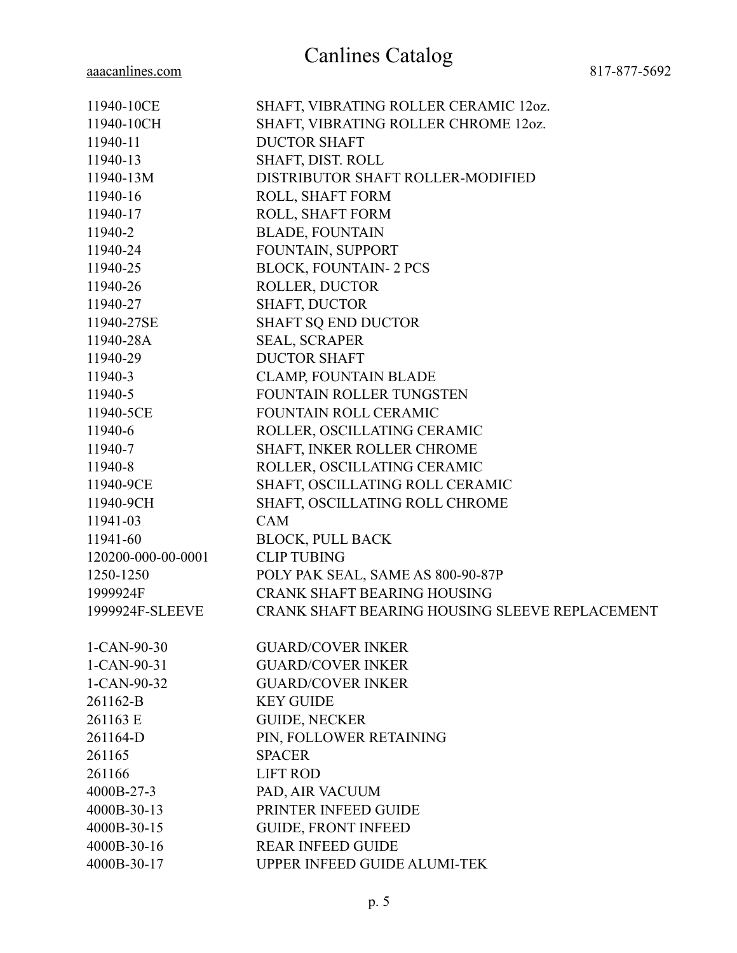# Canlines Catalog 817-877-5692

| aaacanlines.com |
|-----------------|

| 11940-10CE          | SHAFT, VIBRATING ROLLER CERAMIC 12oz.          |
|---------------------|------------------------------------------------|
| 11940-10CH          | SHAFT, VIBRATING ROLLER CHROME 12oz.           |
| 11940-11            | <b>DUCTOR SHAFT</b>                            |
| 11940-13            | SHAFT, DIST. ROLL                              |
| 11940-13M           | DISTRIBUTOR SHAFT ROLLER-MODIFIED              |
| 11940-16            | ROLL, SHAFT FORM                               |
| 11940-17            | ROLL, SHAFT FORM                               |
| 11940-2             | <b>BLADE, FOUNTAIN</b>                         |
| 11940-24            | FOUNTAIN, SUPPORT                              |
| 11940-25            | <b>BLOCK, FOUNTAIN-2 PCS</b>                   |
| 11940-26            | ROLLER, DUCTOR                                 |
| 11940-27            | <b>SHAFT, DUCTOR</b>                           |
| 11940-27SE          | <b>SHAFT SQ END DUCTOR</b>                     |
| 11940-28A           | <b>SEAL, SCRAPER</b>                           |
| 11940-29            | <b>DUCTOR SHAFT</b>                            |
| 11940-3             | <b>CLAMP, FOUNTAIN BLADE</b>                   |
| 11940-5             | FOUNTAIN ROLLER TUNGSTEN                       |
| 11940-5CE           | <b>FOUNTAIN ROLL CERAMIC</b>                   |
| 11940-6             | ROLLER, OSCILLATING CERAMIC                    |
| 11940-7             | SHAFT, INKER ROLLER CHROME                     |
| 11940-8             | ROLLER, OSCILLATING CERAMIC                    |
| 11940-9CE           | SHAFT, OSCILLATING ROLL CERAMIC                |
| 11940-9CH           | SHAFT, OSCILLATING ROLL CHROME                 |
| 11941-03            | <b>CAM</b>                                     |
| 11941-60            | <b>BLOCK, PULL BACK</b>                        |
| 120200-000-00-0001  | <b>CLIP TUBING</b>                             |
| 1250-1250           | POLY PAK SEAL, SAME AS 800-90-87P              |
| 1999924F            | <b>CRANK SHAFT BEARING HOUSING</b>             |
| 1999924F-SLEEVE     | CRANK SHAFT BEARING HOUSING SLEEVE REPLACEMENT |
| $1 - CAN - 90 - 30$ | <b>GUARD/COVER INKER</b>                       |
| 1-CAN-90-31         | <b>GUARD/COVER INKER</b>                       |
| 1-CAN-90-32         | <b>GUARD/COVER INKER</b>                       |
| 261162-B            | <b>KEY GUIDE</b>                               |
| 261163 E            | <b>GUIDE, NECKER</b>                           |
| 261164-D            | PIN, FOLLOWER RETAINING                        |
| 261165              | <b>SPACER</b>                                  |
| 261166              | <b>LIFT ROD</b>                                |
| 4000B-27-3          | PAD, AIR VACUUM                                |
| 4000B-30-13         | PRINTER INFEED GUIDE                           |
| 4000B-30-15         | <b>GUIDE, FRONT INFEED</b>                     |
| 4000B-30-16         | <b>REAR INFEED GUIDE</b>                       |
| 4000B-30-17         | UPPER INFEED GUIDE ALUMI-TEK                   |
|                     |                                                |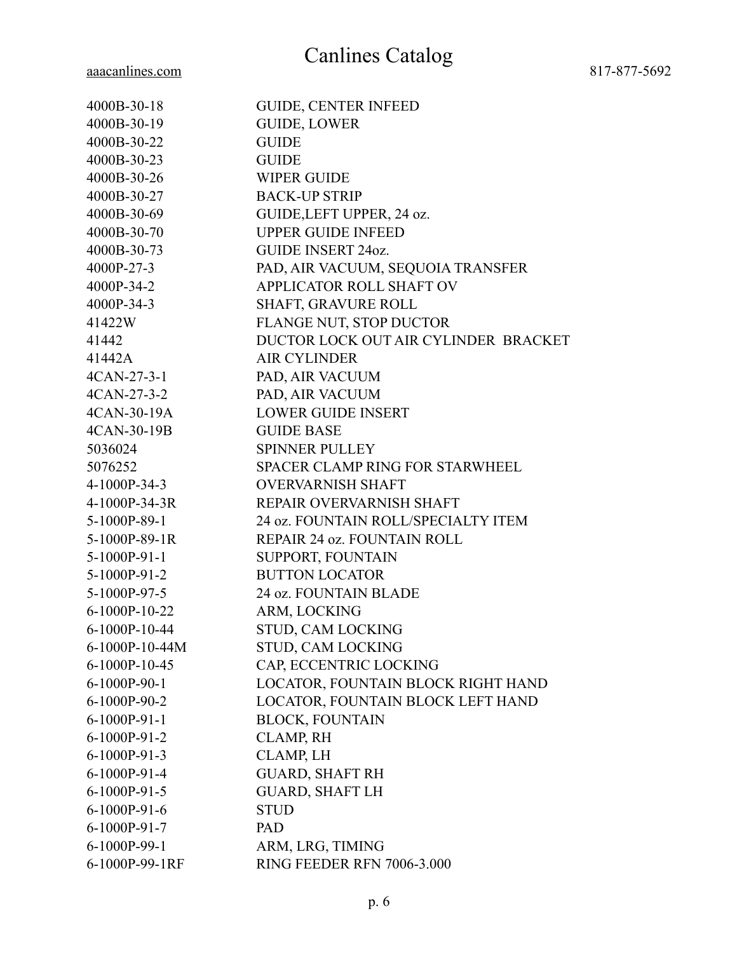| 4000B-30-18     | <b>GUIDE, CENTER INFEED</b>            |
|-----------------|----------------------------------------|
| 4000B-30-19     | <b>GUIDE, LOWER</b>                    |
| 4000B-30-22     | <b>GUIDE</b>                           |
| 4000B-30-23     | <b>GUIDE</b>                           |
| 4000B-30-26     | <b>WIPER GUIDE</b>                     |
| 4000B-30-27     | <b>BACK-UP STRIP</b>                   |
| 4000B-30-69     | GUIDE, LEFT UPPER, 24 oz.              |
| 4000B-30-70     | <b>UPPER GUIDE INFEED</b>              |
| 4000B-30-73     | <b>GUIDE INSERT 24oz.</b>              |
| 4000P-27-3      | PAD, AIR VACUUM, SEQUOIA TRANSFER      |
| 4000P-34-2      | APPLICATOR ROLL SHAFT OV               |
| 4000P-34-3      | SHAFT, GRAVURE ROLL                    |
| 41422W          | FLANGE NUT, STOP DUCTOR                |
| 41442           | DUCTOR LOCK OUT AIR CYLINDER BRACKET   |
| 41442A          | <b>AIR CYLINDER</b>                    |
| $4$ CAN-27-3-1  | PAD, AIR VACUUM                        |
| 4CAN-27-3-2     | PAD, AIR VACUUM                        |
| 4CAN-30-19A     | <b>LOWER GUIDE INSERT</b>              |
| 4CAN-30-19B     | <b>GUIDE BASE</b>                      |
| 5036024         | <b>SPINNER PULLEY</b>                  |
| 5076252         | <b>SPACER CLAMP RING FOR STARWHEEL</b> |
| 4-1000P-34-3    | <b>OVERVARNISH SHAFT</b>               |
| 4-1000P-34-3R   | REPAIR OVERVARNISH SHAFT               |
| 5-1000P-89-1    | 24 oz. FOUNTAIN ROLL/SPECIALTY ITEM    |
| 5-1000P-89-1R   | REPAIR 24 oz. FOUNTAIN ROLL            |
| 5-1000P-91-1    | SUPPORT, FOUNTAIN                      |
| $5-1000P-91-2$  | <b>BUTTON LOCATOR</b>                  |
| 5-1000P-97-5    | 24 oz. FOUNTAIN BLADE                  |
| $6-1000P-10-22$ | ARM, LOCKING                           |
| 6-1000P-10-44   | STUD, CAM LOCKING                      |
| 6-1000P-10-44M  | STUD, CAM LOCKING                      |
| 6-1000P-10-45   | CAP, ECCENTRIC LOCKING                 |
| $6-1000P-90-1$  | LOCATOR, FOUNTAIN BLOCK RIGHT HAND     |
| 6-1000P-90-2    | LOCATOR, FOUNTAIN BLOCK LEFT HAND      |
| $6-1000P-91-1$  | <b>BLOCK, FOUNTAIN</b>                 |
| 6-1000P-91-2    | <b>CLAMP, RH</b>                       |
| $6-1000P-91-3$  | <b>CLAMP, LH</b>                       |
| 6-1000P-91-4    | <b>GUARD, SHAFT RH</b>                 |
| $6-1000P-91-5$  | <b>GUARD, SHAFT LH</b>                 |
| 6-1000P-91-6    | <b>STUD</b>                            |
| 6-1000P-91-7    | PAD                                    |
| 6-1000P-99-1    | ARM, LRG, TIMING                       |
| 6-1000P-99-1RF  | <b>RING FEEDER RFN 7006-3.000</b>      |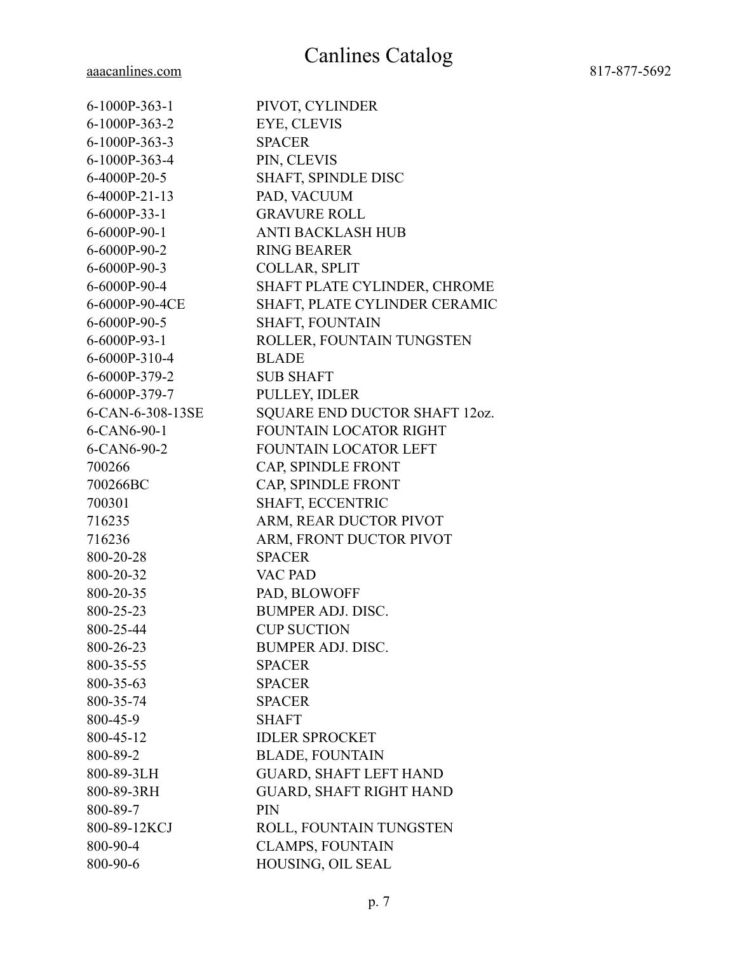| $6-1000P-363-1$      | PIVOT, CYLINDER                |
|----------------------|--------------------------------|
| 6-1000P-363-2        | EYE, CLEVIS                    |
| $6-1000P-363-3$      | <b>SPACER</b>                  |
| 6-1000P-363-4        | PIN, CLEVIS                    |
| 6-4000P-20-5         | SHAFT, SPINDLE DISC            |
| $6-4000P-21-13$      | PAD, VACUUM                    |
| $6 - 6000P - 33 - 1$ | <b>GRAVURE ROLL</b>            |
| $6 - 6000P - 90 - 1$ | <b>ANTI BACKLASH HUB</b>       |
| 6-6000P-90-2         | <b>RING BEARER</b>             |
| $6 - 6000P - 90 - 3$ | COLLAR, SPLIT                  |
| 6-6000P-90-4         | SHAFT PLATE CYLINDER, CHROME   |
| 6-6000P-90-4CE       | SHAFT, PLATE CYLINDER CERAMIC  |
| 6-6000P-90-5         | <b>SHAFT, FOUNTAIN</b>         |
| $6 - 6000P - 93 - 1$ | ROLLER, FOUNTAIN TUNGSTEN      |
| 6-6000P-310-4        | <b>BLADE</b>                   |
| 6-6000P-379-2        | <b>SUB SHAFT</b>               |
| 6-6000P-379-7        | PULLEY, IDLER                  |
| 6-CAN-6-308-13SE     | SQUARE END DUCTOR SHAFT 12oz.  |
| 6-CAN6-90-1          | <b>FOUNTAIN LOCATOR RIGHT</b>  |
| 6-CAN6-90-2          | FOUNTAIN LOCATOR LEFT          |
| 700266               | CAP, SPINDLE FRONT             |
| 700266BC             | CAP, SPINDLE FRONT             |
| 700301               | SHAFT, ECCENTRIC               |
| 716235               | ARM, REAR DUCTOR PIVOT         |
| 716236               | ARM, FRONT DUCTOR PIVOT        |
| 800-20-28            | <b>SPACER</b>                  |
| 800-20-32            | VAC PAD                        |
| 800-20-35            | PAD, BLOWOFF                   |
| 800-25-23            | <b>BUMPER ADJ. DISC.</b>       |
| 800-25-44            | <b>CUP SUCTION</b>             |
| 800-26-23            | <b>BUMPER ADJ. DISC.</b>       |
| 800-35-55            | <b>SPACER</b>                  |
| 800-35-63            | <b>SPACER</b>                  |
| 800-35-74            | <b>SPACER</b>                  |
| 800-45-9             | <b>SHAFT</b>                   |
| 800-45-12            | <b>IDLER SPROCKET</b>          |
| 800-89-2             | <b>BLADE, FOUNTAIN</b>         |
| 800-89-3LH           | <b>GUARD, SHAFT LEFT HAND</b>  |
| 800-89-3RH           | <b>GUARD, SHAFT RIGHT HAND</b> |
| 800-89-7             | <b>PIN</b>                     |
| 800-89-12KCJ         | ROLL, FOUNTAIN TUNGSTEN        |
| 800-90-4             | <b>CLAMPS, FOUNTAIN</b>        |
| 800-90-6             | HOUSING, OIL SEAL              |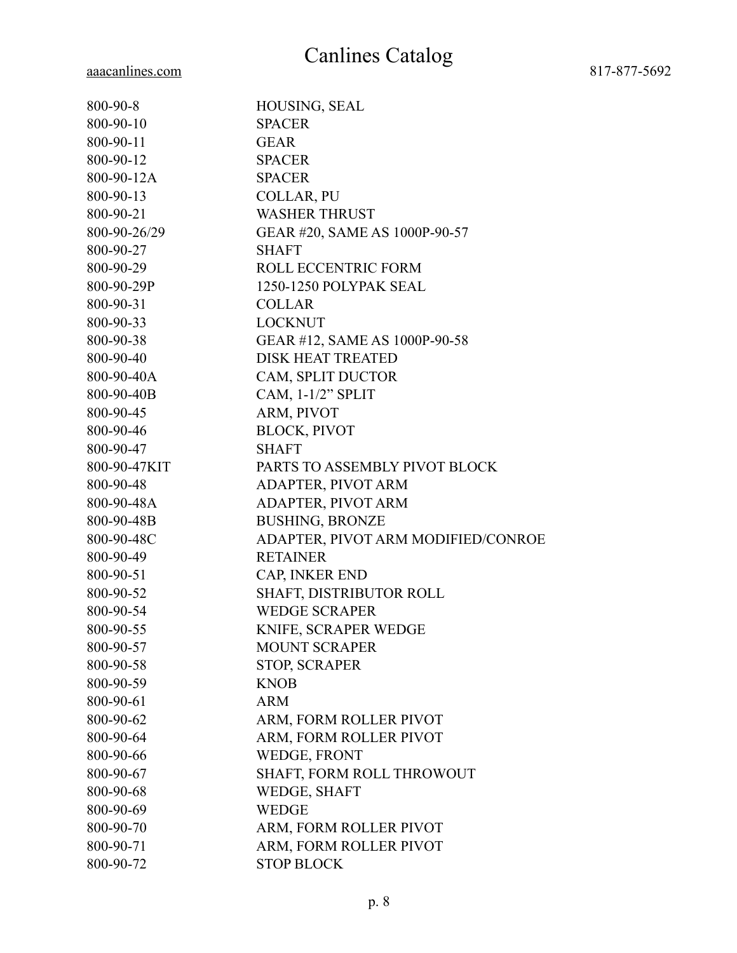| 800-90-8     | HOUSING, SEAL                      |
|--------------|------------------------------------|
| 800-90-10    | <b>SPACER</b>                      |
| 800-90-11    | <b>GEAR</b>                        |
| 800-90-12    | <b>SPACER</b>                      |
| 800-90-12A   | <b>SPACER</b>                      |
| 800-90-13    | COLLAR, PU                         |
| 800-90-21    | <b>WASHER THRUST</b>               |
| 800-90-26/29 | GEAR #20, SAME AS 1000P-90-57      |
| 800-90-27    | <b>SHAFT</b>                       |
| 800-90-29    | ROLL ECCENTRIC FORM                |
| 800-90-29P   | 1250-1250 POLYPAK SEAL             |
| 800-90-31    | <b>COLLAR</b>                      |
| 800-90-33    | <b>LOCKNUT</b>                     |
| 800-90-38    | GEAR #12, SAME AS 1000P-90-58      |
| 800-90-40    | <b>DISK HEAT TREATED</b>           |
| 800-90-40A   | CAM, SPLIT DUCTOR                  |
| 800-90-40B   | CAM, 1-1/2" SPLIT                  |
| 800-90-45    | ARM, PIVOT                         |
| 800-90-46    | <b>BLOCK, PIVOT</b>                |
| 800-90-47    | <b>SHAFT</b>                       |
| 800-90-47KIT | PARTS TO ASSEMBLY PIVOT BLOCK      |
| 800-90-48    | ADAPTER, PIVOT ARM                 |
| 800-90-48A   | ADAPTER, PIVOT ARM                 |
| 800-90-48B   | <b>BUSHING, BRONZE</b>             |
| 800-90-48C   | ADAPTER, PIVOT ARM MODIFIED/CONROE |
| 800-90-49    | <b>RETAINER</b>                    |
| 800-90-51    | CAP, INKER END                     |
| 800-90-52    | SHAFT, DISTRIBUTOR ROLL            |
| 800-90-54    | <b>WEDGE SCRAPER</b>               |
| 800-90-55    | KNIFE, SCRAPER WEDGE               |
| 800-90-57    | <b>MOUNT SCRAPER</b>               |
| 800-90-58    | <b>STOP, SCRAPER</b>               |
| 800-90-59    | <b>KNOB</b>                        |
| 800-90-61    | <b>ARM</b>                         |
| 800-90-62    | ARM, FORM ROLLER PIVOT             |
| 800-90-64    | ARM, FORM ROLLER PIVOT             |
| 800-90-66    | WEDGE, FRONT                       |
| 800-90-67    | SHAFT, FORM ROLL THROWOUT          |
| 800-90-68    | WEDGE, SHAFT                       |
| 800-90-69    | <b>WEDGE</b>                       |
| 800-90-70    | ARM, FORM ROLLER PIVOT             |
| 800-90-71    | ARM, FORM ROLLER PIVOT             |
| 800-90-72    | <b>STOP BLOCK</b>                  |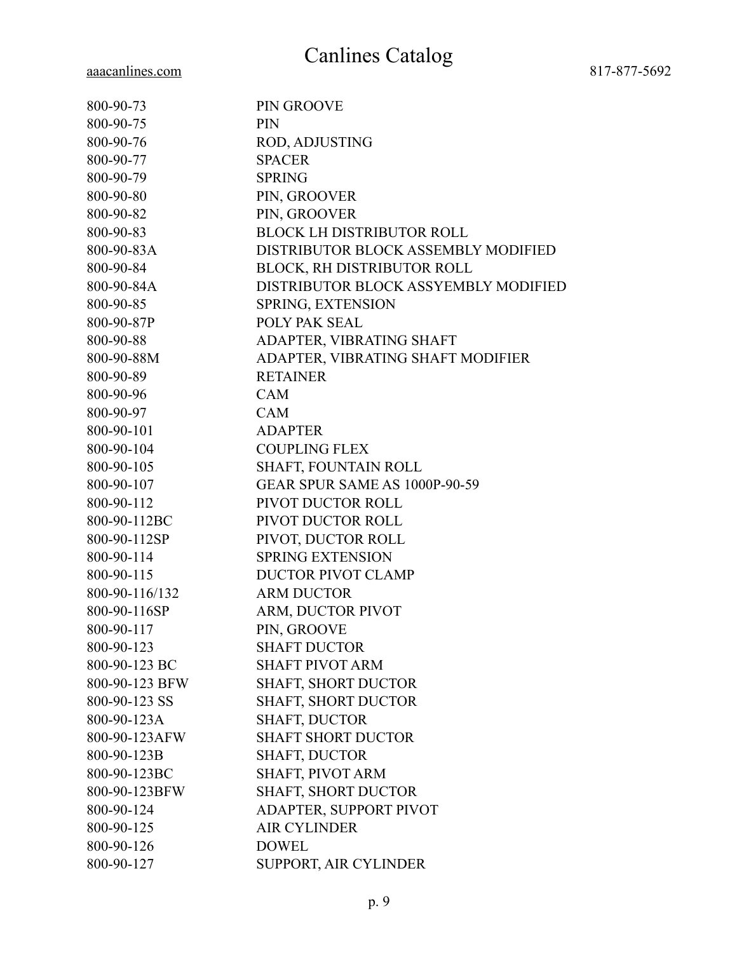| 800-90-73      | PIN GROOVE                           |
|----------------|--------------------------------------|
| 800-90-75      | <b>PIN</b>                           |
| 800-90-76      | ROD, ADJUSTING                       |
| 800-90-77      | <b>SPACER</b>                        |
| 800-90-79      | <b>SPRING</b>                        |
| 800-90-80      | PIN, GROOVER                         |
| 800-90-82      | PIN, GROOVER                         |
| 800-90-83      | <b>BLOCK LH DISTRIBUTOR ROLL</b>     |
| 800-90-83A     | DISTRIBUTOR BLOCK ASSEMBLY MODIFIED  |
| 800-90-84      | BLOCK, RH DISTRIBUTOR ROLL           |
| 800-90-84A     | DISTRIBUTOR BLOCK ASSYEMBLY MODIFIED |
| 800-90-85      | SPRING, EXTENSION                    |
| 800-90-87P     | POLY PAK SEAL                        |
| 800-90-88      | ADAPTER, VIBRATING SHAFT             |
| 800-90-88M     | ADAPTER, VIBRATING SHAFT MODIFIER    |
| 800-90-89      | <b>RETAINER</b>                      |
| 800-90-96      | <b>CAM</b>                           |
| 800-90-97      | <b>CAM</b>                           |
| 800-90-101     | <b>ADAPTER</b>                       |
| 800-90-104     | <b>COUPLING FLEX</b>                 |
| 800-90-105     | SHAFT, FOUNTAIN ROLL                 |
| 800-90-107     | GEAR SPUR SAME AS 1000P-90-59        |
| 800-90-112     | PIVOT DUCTOR ROLL                    |
| 800-90-112BC   | PIVOT DUCTOR ROLL                    |
| 800-90-112SP   | PIVOT, DUCTOR ROLL                   |
| 800-90-114     | <b>SPRING EXTENSION</b>              |
| 800-90-115     | <b>DUCTOR PIVOT CLAMP</b>            |
| 800-90-116/132 | <b>ARM DUCTOR</b>                    |
| 800-90-116SP   | ARM, DUCTOR PIVOT                    |
| 800-90-117     | PIN, GROOVE                          |
| 800-90-123     | <b>SHAFT DUCTOR</b>                  |
| 800-90-123 BC  | <b>SHAFT PIVOT ARM</b>               |
| 800-90-123 BFW | <b>SHAFT, SHORT DUCTOR</b>           |
| 800-90-123 SS  | <b>SHAFT, SHORT DUCTOR</b>           |
| 800-90-123A    | <b>SHAFT, DUCTOR</b>                 |
| 800-90-123AFW  | <b>SHAFT SHORT DUCTOR</b>            |
| 800-90-123B    | <b>SHAFT, DUCTOR</b>                 |
| 800-90-123BC   | SHAFT, PIVOT ARM                     |
| 800-90-123BFW  | <b>SHAFT, SHORT DUCTOR</b>           |
| 800-90-124     | ADAPTER, SUPPORT PIVOT               |
| 800-90-125     | <b>AIR CYLINDER</b>                  |
| 800-90-126     | <b>DOWEL</b>                         |
| 800-90-127     | SUPPORT, AIR CYLINDER                |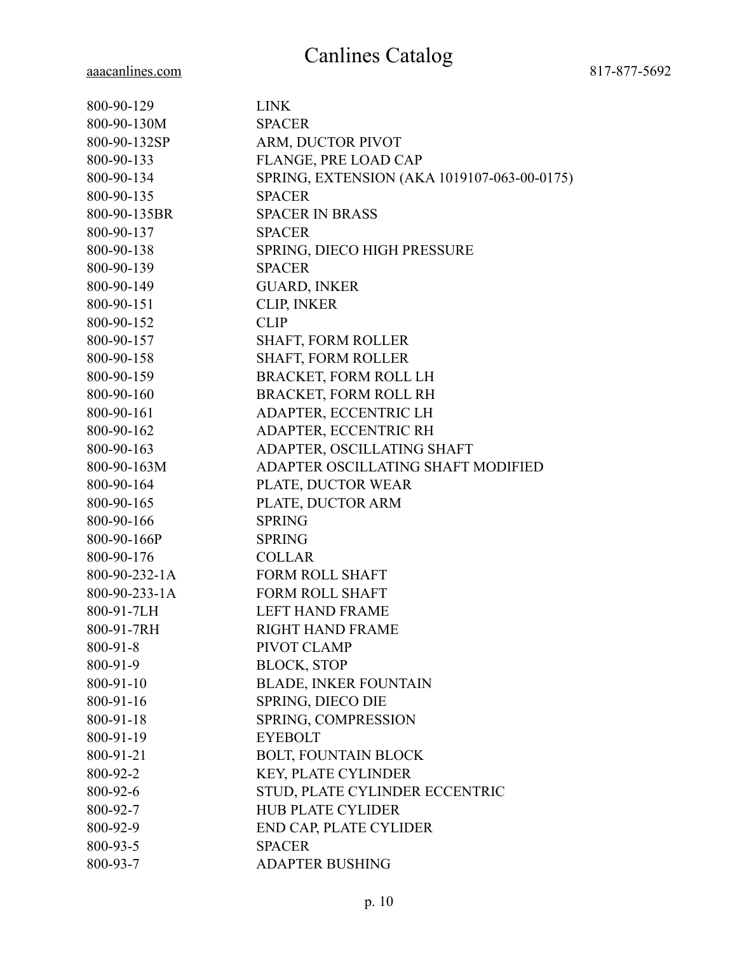| 800-90-129    | <b>LINK</b>                                 |
|---------------|---------------------------------------------|
| 800-90-130M   | <b>SPACER</b>                               |
| 800-90-132SP  | ARM, DUCTOR PIVOT                           |
| 800-90-133    | FLANGE, PRE LOAD CAP                        |
| 800-90-134    | SPRING, EXTENSION (AKA 1019107-063-00-0175) |
| 800-90-135    | <b>SPACER</b>                               |
| 800-90-135BR  | <b>SPACER IN BRASS</b>                      |
| 800-90-137    | <b>SPACER</b>                               |
| 800-90-138    | SPRING, DIECO HIGH PRESSURE                 |
| 800-90-139    | <b>SPACER</b>                               |
| 800-90-149    | <b>GUARD, INKER</b>                         |
| 800-90-151    | <b>CLIP, INKER</b>                          |
| 800-90-152    | <b>CLIP</b>                                 |
| 800-90-157    | <b>SHAFT, FORM ROLLER</b>                   |
| 800-90-158    | <b>SHAFT, FORM ROLLER</b>                   |
| 800-90-159    | BRACKET, FORM ROLL LH                       |
| 800-90-160    | BRACKET, FORM ROLL RH                       |
| 800-90-161    | ADAPTER, ECCENTRIC LH                       |
| 800-90-162    | ADAPTER, ECCENTRIC RH                       |
| 800-90-163    | ADAPTER, OSCILLATING SHAFT                  |
| 800-90-163M   | ADAPTER OSCILLATING SHAFT MODIFIED          |
| 800-90-164    | PLATE, DUCTOR WEAR                          |
| 800-90-165    | PLATE, DUCTOR ARM                           |
| 800-90-166    | <b>SPRING</b>                               |
| 800-90-166P   | <b>SPRING</b>                               |
| 800-90-176    | <b>COLLAR</b>                               |
| 800-90-232-1A | <b>FORM ROLL SHAFT</b>                      |
| 800-90-233-1A | <b>FORM ROLL SHAFT</b>                      |
| 800-91-7LH    | <b>LEFT HAND FRAME</b>                      |
| 800-91-7RH    | <b>RIGHT HAND FRAME</b>                     |
| 800-91-8      | PIVOT CLAMP                                 |
| 800-91-9      | <b>BLOCK, STOP</b>                          |
| 800-91-10     | <b>BLADE, INKER FOUNTAIN</b>                |
| 800-91-16     | SPRING, DIECO DIE                           |
| 800-91-18     | SPRING, COMPRESSION                         |
| 800-91-19     | <b>EYEBOLT</b>                              |
| 800-91-21     | <b>BOLT, FOUNTAIN BLOCK</b>                 |
| 800-92-2      | KEY, PLATE CYLINDER                         |
| 800-92-6      | STUD, PLATE CYLINDER ECCENTRIC              |
| 800-92-7      | <b>HUB PLATE CYLIDER</b>                    |
| 800-92-9      | END CAP, PLATE CYLIDER                      |
| 800-93-5      | <b>SPACER</b>                               |
| 800-93-7      | <b>ADAPTER BUSHING</b>                      |
|               |                                             |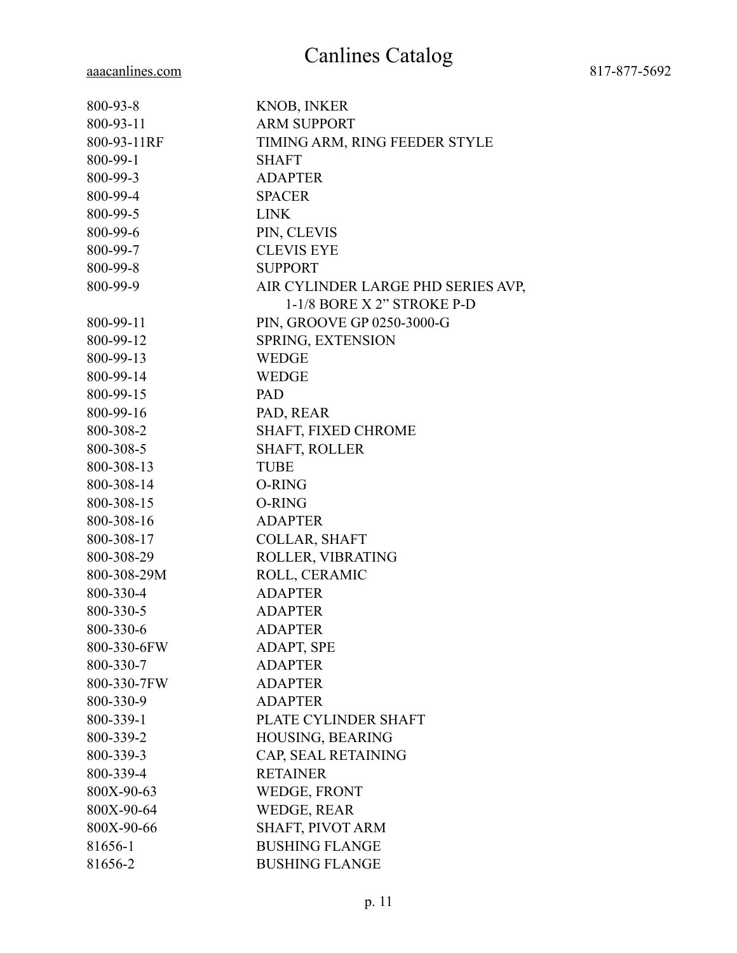| 800-93-8    | <b>KNOB, INKER</b>                                               |
|-------------|------------------------------------------------------------------|
| 800-93-11   | <b>ARM SUPPORT</b>                                               |
| 800-93-11RF | TIMING ARM, RING FEEDER STYLE                                    |
| 800-99-1    | <b>SHAFT</b>                                                     |
| 800-99-3    | <b>ADAPTER</b>                                                   |
| 800-99-4    | <b>SPACER</b>                                                    |
| 800-99-5    | <b>LINK</b>                                                      |
| 800-99-6    | PIN, CLEVIS                                                      |
| 800-99-7    | <b>CLEVIS EYE</b>                                                |
| 800-99-8    | <b>SUPPORT</b>                                                   |
| 800-99-9    | AIR CYLINDER LARGE PHD SERIES AVP,<br>1-1/8 BORE X 2" STROKE P-D |
| 800-99-11   | PIN, GROOVE GP 0250-3000-G                                       |
| 800-99-12   | <b>SPRING, EXTENSION</b>                                         |
| 800-99-13   | <b>WEDGE</b>                                                     |
| 800-99-14   | <b>WEDGE</b>                                                     |
| 800-99-15   | <b>PAD</b>                                                       |
| 800-99-16   | PAD, REAR                                                        |
| 800-308-2   | SHAFT, FIXED CHROME                                              |
| 800-308-5   | <b>SHAFT, ROLLER</b>                                             |
| 800-308-13  | <b>TUBE</b>                                                      |
| 800-308-14  | O-RING                                                           |
| 800-308-15  | O-RING                                                           |
| 800-308-16  | <b>ADAPTER</b>                                                   |
| 800-308-17  | <b>COLLAR, SHAFT</b>                                             |
| 800-308-29  | ROLLER, VIBRATING                                                |
| 800-308-29M | ROLL, CERAMIC                                                    |
| 800-330-4   | <b>ADAPTER</b>                                                   |
| 800-330-5   | <b>ADAPTER</b>                                                   |
| 800-330-6   | <b>ADAPTER</b>                                                   |
| 800-330-6FW | <b>ADAPT, SPE</b>                                                |
| 800-330-7   | <b>ADAPTER</b>                                                   |
| 800-330-7FW | <b>ADAPTER</b>                                                   |
| 800-330-9   | <b>ADAPTER</b>                                                   |
| 800-339-1   | PLATE CYLINDER SHAFT                                             |
| 800-339-2   | HOUSING, BEARING                                                 |
| 800-339-3   | CAP, SEAL RETAINING                                              |
| 800-339-4   | <b>RETAINER</b>                                                  |
| 800X-90-63  | WEDGE, FRONT                                                     |
| 800X-90-64  | WEDGE, REAR                                                      |
| 800X-90-66  | SHAFT, PIVOT ARM                                                 |
| 81656-1     | <b>BUSHING FLANGE</b>                                            |
| 81656-2     | <b>BUSHING FLANGE</b>                                            |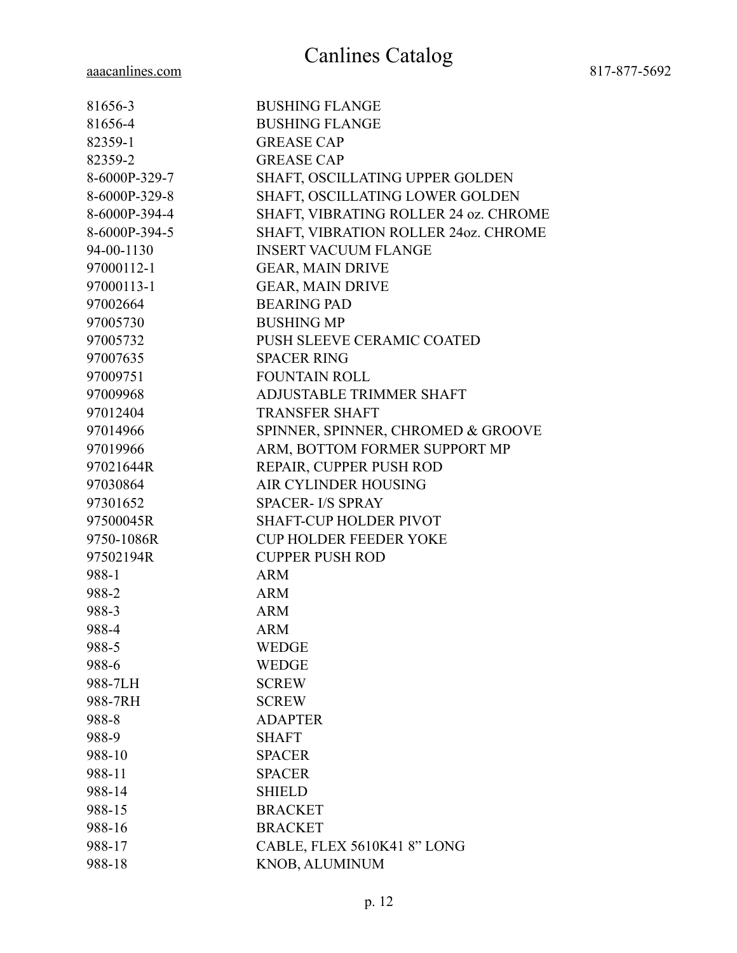| 81656-3       | <b>BUSHING FLANGE</b>                 |
|---------------|---------------------------------------|
| 81656-4       | <b>BUSHING FLANGE</b>                 |
| 82359-1       | <b>GREASE CAP</b>                     |
| 82359-2       | <b>GREASE CAP</b>                     |
| 8-6000P-329-7 | SHAFT, OSCILLATING UPPER GOLDEN       |
| 8-6000P-329-8 | SHAFT, OSCILLATING LOWER GOLDEN       |
| 8-6000P-394-4 | SHAFT, VIBRATING ROLLER 24 oz. CHROME |
| 8-6000P-394-5 | SHAFT, VIBRATION ROLLER 24oz. CHROME  |
| 94-00-1130    | <b>INSERT VACUUM FLANGE</b>           |
| 97000112-1    | <b>GEAR, MAIN DRIVE</b>               |
| 97000113-1    | <b>GEAR, MAIN DRIVE</b>               |
| 97002664      | <b>BEARING PAD</b>                    |
| 97005730      | <b>BUSHING MP</b>                     |
| 97005732      | PUSH SLEEVE CERAMIC COATED            |
| 97007635      | <b>SPACER RING</b>                    |
| 97009751      | <b>FOUNTAIN ROLL</b>                  |
| 97009968      | <b>ADJUSTABLE TRIMMER SHAFT</b>       |
| 97012404      | <b>TRANSFER SHAFT</b>                 |
| 97014966      | SPINNER, SPINNER, CHROMED & GROOVE    |
| 97019966      | ARM, BOTTOM FORMER SUPPORT MP         |
| 97021644R     | REPAIR, CUPPER PUSH ROD               |
| 97030864      | AIR CYLINDER HOUSING                  |
| 97301652      | <b>SPACER-I/S SPRAY</b>               |
| 97500045R     | <b>SHAFT-CUP HOLDER PIVOT</b>         |
| 9750-1086R    | <b>CUP HOLDER FEEDER YOKE</b>         |
| 97502194R     | <b>CUPPER PUSH ROD</b>                |
| 988-1         | <b>ARM</b>                            |
| 988-2         | <b>ARM</b>                            |
| 988-3         | <b>ARM</b>                            |
| 988-4         | <b>ARM</b>                            |
| 988-5         | WEDGE                                 |
| 988-6         | <b>WEDGE</b>                          |
| 988-7LH       | <b>SCREW</b>                          |
| 988-7RH       | <b>SCREW</b>                          |
| 988-8         | <b>ADAPTER</b>                        |
| 988-9         | <b>SHAFT</b>                          |
| 988-10        | <b>SPACER</b>                         |
| 988-11        | <b>SPACER</b>                         |
| 988-14        | <b>SHIELD</b>                         |
| 988-15        | <b>BRACKET</b>                        |
| 988-16        | <b>BRACKET</b>                        |
| 988-17        | CABLE, FLEX 5610K41 8" LONG           |
| 988-18        | KNOB, ALUMINUM                        |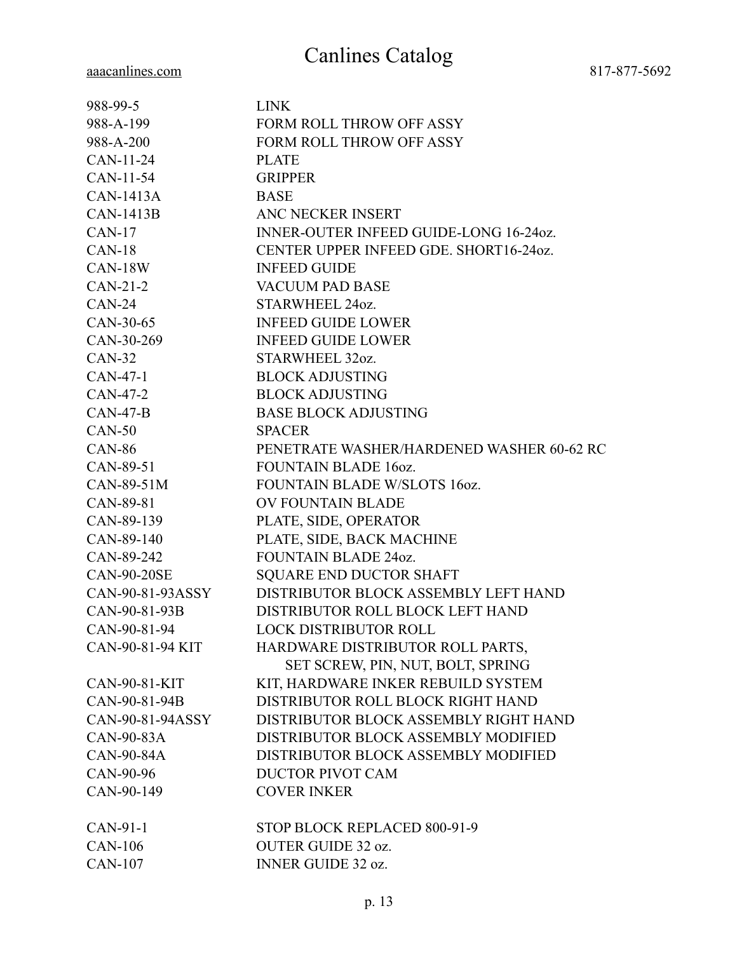988-99-5 988-A-199 988-A-200 CAN-11-24 CAN-11-54 CAN-1413A CAN-1413B CAN-17 CAN-18 CAN-18W CAN-21-2 CAN-24 CAN-30-65 CAN-30-269 CAN-32 CAN-47-1 CAN-47-2 CAN-47-B CAN-50 CAN-86 CAN-89-51 CAN-89-51M CAN-89-81 CAN-89-139 CAN-89-140 CAN-89-242 CAN-90-20SE CAN-90-81-93ASSY CAN-90-81-93B CAN-90-81-94 CAN-90-81-94 KIT CAN-90-81-KIT CAN-90-81-94B CAN-90-81-94ASSY CAN-90-83A CAN-90-84A CAN-90-96 CAN-90-149 CAN-91-1 CAN-106 CAN-107 LINK FORM ROLL THROW OFF ASSY FORM ROLL THROW OFF ASSY PLATE GRIPPER BASE ANC NECKER INSERT INNER-OUTER INFEED GUIDE-LONG 16-24oz. CENTER UPPER INFEED GDE. SHORT16-24oz. INFEED GUIDE VACUUM PAD BASE STARWHEEL 24oz. INFEED GUIDE LOWER INFEED GUIDE LOWER STARWHEEL 32oz. BLOCK ADJUSTING BLOCK ADJUSTING BASE BLOCK ADJUSTING SPACER PENETRATE WASHER/HARDENED WASHER 60-62 RC FOUNTAIN BLADE 16oz. FOUNTAIN BLADE W/SLOTS 16oz. OV FOUNTAIN BLADE PLATE, SIDE, OPERATOR PLATE, SIDE, BACK MACHINE FOUNTAIN BLADE 24oz. SQUARE END DUCTOR SHAFT DISTRIBUTOR BLOCK ASSEMBLY LEFT HAND DISTRIBUTOR ROLL BLOCK LEFT HAND LOCK DISTRIBUTOR ROLL HARDWARE DISTRIBUTOR ROLL PARTS, SET SCREW, PIN, NUT, BOLT, SPRING KIT, HARDWARE INKER REBUILD SYSTEM DISTRIBUTOR ROLL BLOCK RIGHT HAND DISTRIBUTOR BLOCK ASSEMBLY RIGHT HAND DISTRIBUTOR BLOCK ASSEMBLY MODIFIED DISTRIBUTOR BLOCK ASSEMBLY MODIFIED DUCTOR PIVOT CAM COVER INKER STOP BLOCK REPLACED 800-91-9 OUTER GUIDE 32 oz. INNER GUIDE 32 oz.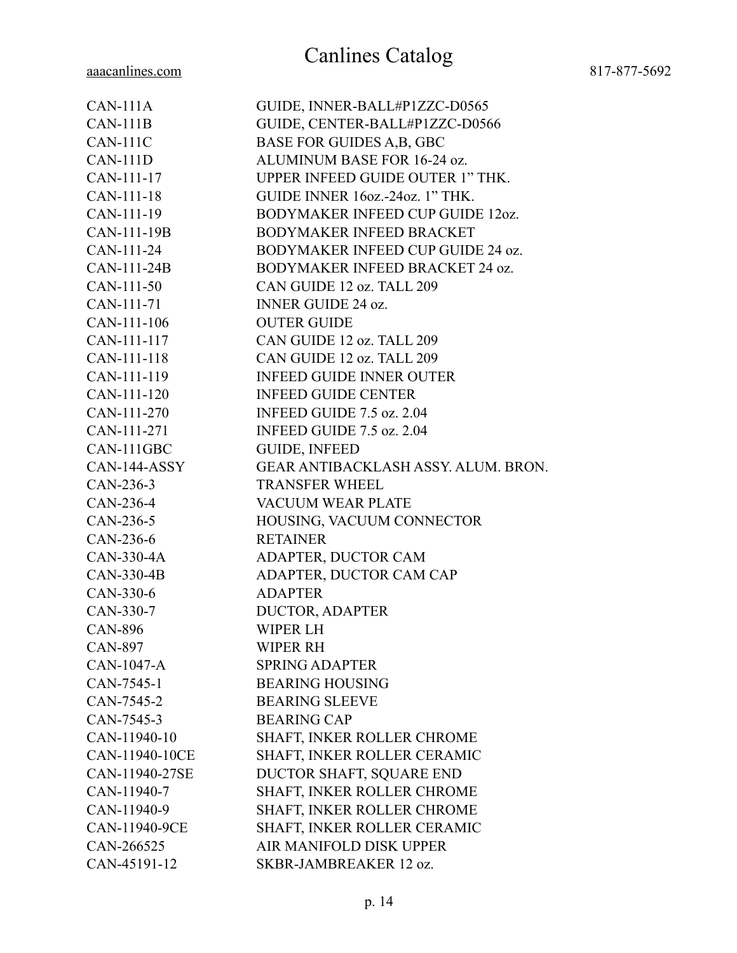#### Canlines Catalog 817-877-5692

| aaacanlines.com |
|-----------------|

| <b>CAN-111A</b> | GUIDE, INNER-BALL#P1ZZC-D0565           |
|-----------------|-----------------------------------------|
| $CAN-111B$      | GUIDE, CENTER-BALL#P1ZZC-D0566          |
| <b>CAN-111C</b> | BASE FOR GUIDES A, B, GBC               |
| <b>CAN-111D</b> | ALUMINUM BASE FOR 16-24 oz.             |
| CAN-111-17      | <b>UPPER INFEED GUIDE OUTER 1" THK.</b> |
| CAN-111-18      | <b>GUIDE INNER 160z.-240z. 1" THK.</b>  |
| CAN-111-19      | BODYMAKER INFEED CUP GUIDE 12oz.        |
| CAN-111-19B     | <b>BODYMAKER INFEED BRACKET</b>         |
| CAN-111-24      | BODYMAKER INFEED CUP GUIDE 24 oz.       |
| CAN-111-24B     | BODYMAKER INFEED BRACKET 24 oz.         |
| CAN-111-50      | CAN GUIDE 12 oz. TALL 209               |
| CAN-111-71      | <b>INNER GUIDE 24 oz.</b>               |
| CAN-111-106     | <b>OUTER GUIDE</b>                      |
| CAN-111-117     | CAN GUIDE 12 oz. TALL 209               |
| CAN-111-118     | CAN GUIDE 12 oz. TALL 209               |
| CAN-111-119     | <b>INFEED GUIDE INNER OUTER</b>         |
| CAN-111-120     | <b>INFEED GUIDE CENTER</b>              |
| CAN-111-270     | INFEED GUIDE 7.5 oz. 2.04               |
| CAN-111-271     | INFEED GUIDE 7.5 oz. 2.04               |
| CAN-111GBC      | <b>GUIDE, INFEED</b>                    |
| CAN-144-ASSY    | GEAR ANTIBACKLASH ASSY. ALUM. BRON.     |
| CAN-236-3       | <b>TRANSFER WHEEL</b>                   |
| CAN-236-4       | <b>VACUUM WEAR PLATE</b>                |
| CAN-236-5       | HOUSING, VACUUM CONNECTOR               |
| CAN-236-6       | <b>RETAINER</b>                         |
| CAN-330-4A      | ADAPTER, DUCTOR CAM                     |
| $CAN-330-4B$    | ADAPTER, DUCTOR CAM CAP                 |
| CAN-330-6       | <b>ADAPTER</b>                          |
| CAN-330-7       | DUCTOR, ADAPTER                         |
| <b>CAN-896</b>  | WIPER LH                                |
| <b>CAN-897</b>  | <b>WIPER RH</b>                         |
| CAN-1047-A      | <b>SPRING ADAPTER</b>                   |
| CAN-7545-1      | <b>BEARING HOUSING</b>                  |
| CAN-7545-2      | <b>BEARING SLEEVE</b>                   |
| CAN-7545-3      | <b>BEARING CAP</b>                      |
| CAN-11940-10    | SHAFT, INKER ROLLER CHROME              |
| CAN-11940-10CE  | SHAFT, INKER ROLLER CERAMIC             |
| CAN-11940-27SE  | DUCTOR SHAFT, SQUARE END                |
| CAN-11940-7     | SHAFT, INKER ROLLER CHROME              |
| CAN-11940-9     | SHAFT, INKER ROLLER CHROME              |
| CAN-11940-9CE   | SHAFT, INKER ROLLER CERAMIC             |
| CAN-266525      | AIR MANIFOLD DISK UPPER                 |
| CAN-45191-12    | SKBR-JAMBREAKER 12 oz.                  |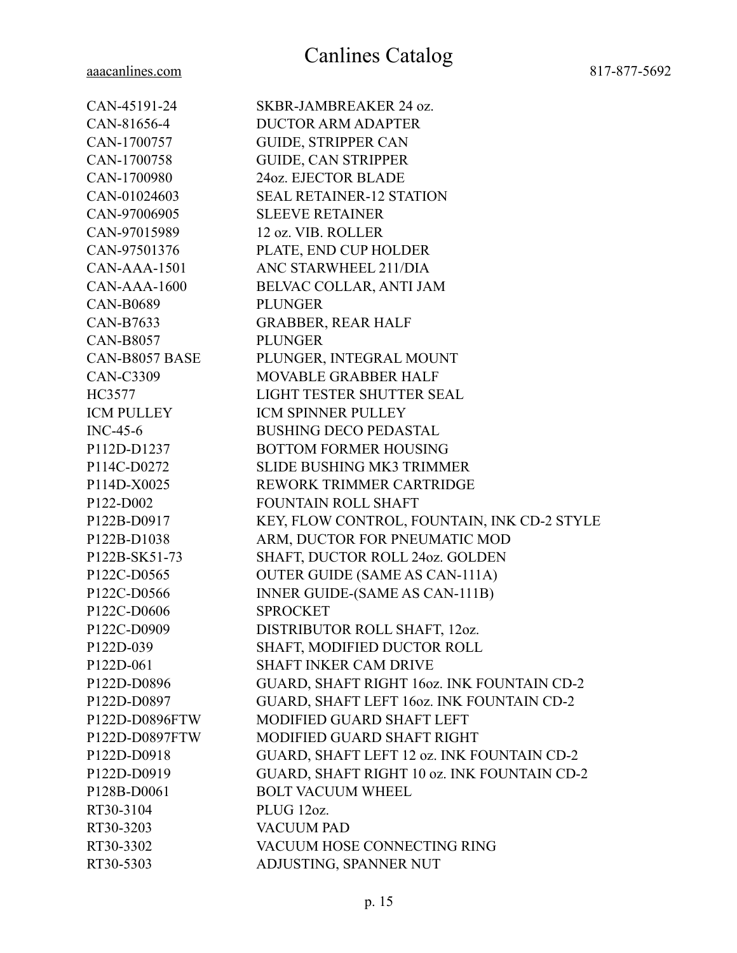| CAN-45191-24                            | SKBR-JAMBREAKER 24 oz.                      |
|-----------------------------------------|---------------------------------------------|
| CAN-81656-4                             | <b>DUCTOR ARM ADAPTER</b>                   |
| CAN-1700757                             | <b>GUIDE, STRIPPER CAN</b>                  |
| CAN-1700758                             | <b>GUIDE, CAN STRIPPER</b>                  |
| CAN-1700980                             | 24oz. EJECTOR BLADE                         |
| CAN-01024603                            | <b>SEAL RETAINER-12 STATION</b>             |
| CAN-97006905                            | <b>SLEEVE RETAINER</b>                      |
| CAN-97015989                            | 12 oz. VIB. ROLLER                          |
| CAN-97501376                            | PLATE, END CUP HOLDER                       |
| $CAN-AAA-1501$                          | ANC STARWHEEL 211/DIA                       |
| $CAN-AAA-1600$                          | BELVAC COLLAR, ANTI JAM                     |
| <b>CAN-B0689</b>                        | <b>PLUNGER</b>                              |
| CAN-B7633                               | <b>GRABBER, REAR HALF</b>                   |
| <b>CAN-B8057</b>                        | <b>PLUNGER</b>                              |
| CAN-B8057 BASE                          | PLUNGER, INTEGRAL MOUNT                     |
| CAN-C3309                               | <b>MOVABLE GRABBER HALF</b>                 |
| HC3577                                  | LIGHT TESTER SHUTTER SEAL                   |
| ICM PULLEY                              | ICM SPINNER PULLEY                          |
| $INC-45-6$                              | <b>BUSHING DECO PEDASTAL</b>                |
| P112D-D1237                             | <b>BOTTOM FORMER HOUSING</b>                |
| P114C-D0272                             | <b>SLIDE BUSHING MK3 TRIMMER</b>            |
| P114D-X0025                             | REWORK TRIMMER CARTRIDGE                    |
| P122-D002                               | <b>FOUNTAIN ROLL SHAFT</b>                  |
| P122B-D0917                             | KEY, FLOW CONTROL, FOUNTAIN, INK CD-2 STYLE |
| P122B-D1038                             | ARM, DUCTOR FOR PNEUMATIC MOD               |
| P <sub>122</sub> B-SK <sub>51</sub> -73 | SHAFT, DUCTOR ROLL 24oz. GOLDEN             |
| P122C-D0565                             | <b>OUTER GUIDE (SAME AS CAN-111A)</b>       |
| P122C-D0566                             | INNER GUIDE-(SAME AS CAN-111B)              |
| P122C-D0606                             | <b>SPROCKET</b>                             |
| P122C-D0909                             | DISTRIBUTOR ROLL SHAFT, 12oz.               |
| P122D-039                               | SHAFT, MODIFIED DUCTOR ROLL                 |
| P122D-061                               | <b>SHAFT INKER CAM DRIVE</b>                |
| P122D-D0896                             | GUARD, SHAFT RIGHT 160z. INK FOUNTAIN CD-2  |
| P122D-D0897                             | GUARD, SHAFT LEFT 160z. INK FOUNTAIN CD-2   |
| P122D-D0896FTW                          | <b>MODIFIED GUARD SHAFT LEFT</b>            |
| P122D-D0897FTW                          | MODIFIED GUARD SHAFT RIGHT                  |
| P122D-D0918                             | GUARD, SHAFT LEFT 12 oz. INK FOUNTAIN CD-2  |
| P122D-D0919                             | GUARD, SHAFT RIGHT 10 oz. INK FOUNTAIN CD-2 |
| P128B-D0061                             | <b>BOLT VACUUM WHEEL</b>                    |
| RT30-3104                               | PLUG 12oz.                                  |
| RT30-3203                               | <b>VACUUM PAD</b>                           |
| RT30-3302                               | VACUUM HOSE CONNECTING RING                 |
| RT30-5303                               | ADJUSTING, SPANNER NUT                      |